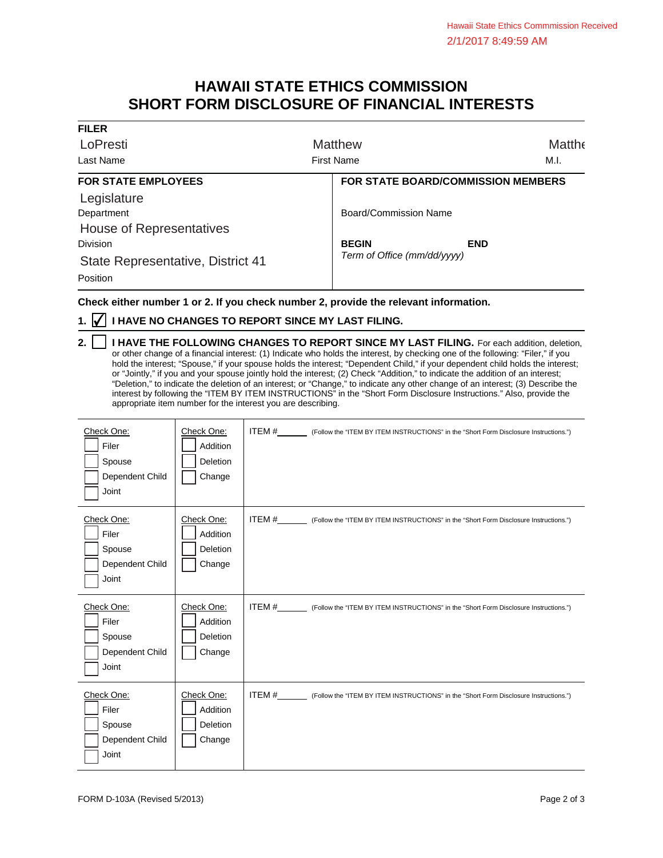## **HAWAII STATE ETHICS COMMISSION SHORT FORM DISCLOSURE OF FINANCIAL INTERESTS**

| <b>FILER</b>                      |                                           |                             |  |
|-----------------------------------|-------------------------------------------|-----------------------------|--|
| LoPresti                          | <b>Matthew</b>                            | <b>Matthe</b>               |  |
| Last Name                         | <b>First Name</b>                         | M.I.                        |  |
| <b>FOR STATE EMPLOYEES</b>        | <b>FOR STATE BOARD/COMMISSION MEMBERS</b> |                             |  |
| Legislature                       |                                           |                             |  |
| Department                        | Board/Commission Name                     |                             |  |
| House of Representatives          |                                           |                             |  |
| <b>Division</b>                   | <b>BEGIN</b>                              | <b>END</b>                  |  |
| State Representative, District 41 |                                           | Term of Office (mm/dd/yyyy) |  |
| Position                          |                                           |                             |  |

**Check either number 1 or 2. If you check number 2, provide the relevant information.**

## **1. ⊘ I HAVE NO CHANGES TO REPORT SINCE MY LAST FILING.**

**2.** | | I HAVE THE FOLLOWING CHANGES TO REPORT SINCE MY LAST FILING. For each addition, deletion, or other change of a financial interest: (1) Indicate who holds the interest, by checking one of the following: "Filer," if you hold the interest; "Spouse," if your spouse holds the interest; "Dependent Child," if your dependent child holds the interest; or "Jointly," if you and your spouse jointly hold the interest; (2) Check "Addition," to indicate the addition of an interest; "Deletion," to indicate the deletion of an interest; or "Change," to indicate any other change of an interest; (3) Describe the interest by following the "ITEM BY ITEM INSTRUCTIONS" in the "Short Form Disclosure Instructions." Also, provide the appropriate item number for the interest you are describing.

| Check One:<br>Filer<br>Spouse<br>Dependent Child<br>Joint | Check One:<br>Addition<br>Deletion<br>Change | ITEM #__________ (Follow the "ITEM BY ITEM INSTRUCTIONS" in the "Short Form Disclosure Instructions.") |
|-----------------------------------------------------------|----------------------------------------------|--------------------------------------------------------------------------------------------------------|
| Check One:<br>Filer<br>Spouse<br>Dependent Child<br>Joint | Check One:<br>Addition<br>Deletion<br>Change |                                                                                                        |
| Check One:<br>Filer<br>Spouse<br>Dependent Child<br>Joint | Check One:<br>Addition<br>Deletion<br>Change | ITEM #__________ (Follow the "ITEM BY ITEM INSTRUCTIONS" in the "Short Form Disclosure Instructions.") |
| Check One:<br>Filer<br>Spouse<br>Dependent Child<br>Joint | Check One:<br>Addition<br>Deletion<br>Change | ITEM #_________ (Follow the "ITEM BY ITEM INSTRUCTIONS" in the "Short Form Disclosure Instructions.")  |